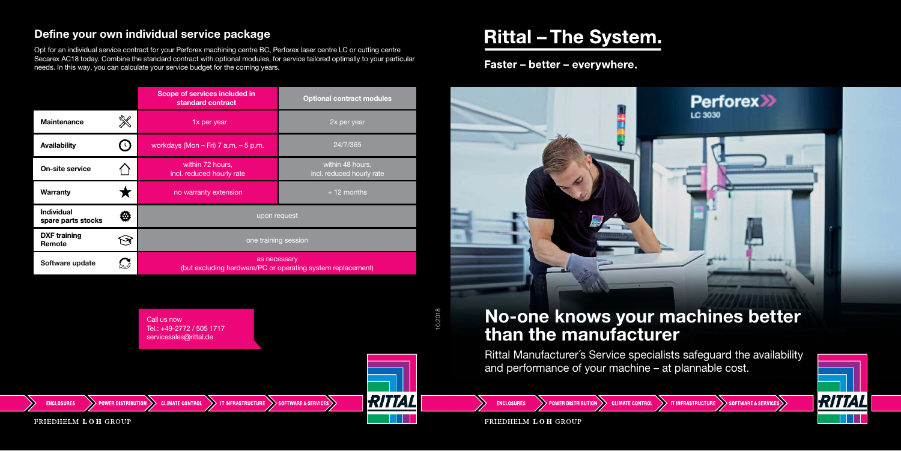|                                         |                            | Scope of services included in<br>standard contract                          | <b>Optional contract modules</b>              |
|-----------------------------------------|----------------------------|-----------------------------------------------------------------------------|-----------------------------------------------|
| <b>Maintenance</b>                      | ※                          | 1x per year                                                                 | 2x per year                                   |
| Availability                            | $\left(\cdot\right)$       | workdays (Mon $-$ Fri) 7 a.m. $-$ 5 p.m.                                    | 24/7/365                                      |
| <b>On-site service</b>                  |                            | within 72 hours,<br>incl. reduced hourly rate                               | within 48 hours,<br>incl. reduced hourly rate |
| <b>Warranty</b>                         |                            | no warranty extension                                                       | $+12$ months                                  |
| <b>Individual</b><br>spare parts stocks |                            | upon request                                                                |                                               |
| <b>DXF</b> training<br>Remote           |                            | one training session                                                        |                                               |
| Software update                         | $\boldsymbol{\mathcal{C}}$ | as necessary<br>(but excluding hardware/PC or operating system replacement) |                                               |

Rittal Manufacturer´s Service specialists safeguard the availability and performance of your machine – at plannable cost.

**CLIMATE CONTROL** 

FRIEDHELM LOH GROUP

OWER DISTRIBUTION

**ENCLOSURES** 



RITTAL

**IT INFRASTRUCTURE** 

**SOFTWARE & SERVICES** 

## **No-one knows your machines better than the manufacturer**

## **Define your own individual service package**



# **Rittal - The System.**

## Faster - better - everywhere.



Opt for an individual service contract for your Perforex machining centre BC, Perforex laser centre LC or cutting centre Secarex AC18 today. Combine the standard contract with optional modules, for service tailored optimally to your particular needs. In this way, you can calculate your service budget for the coming years.